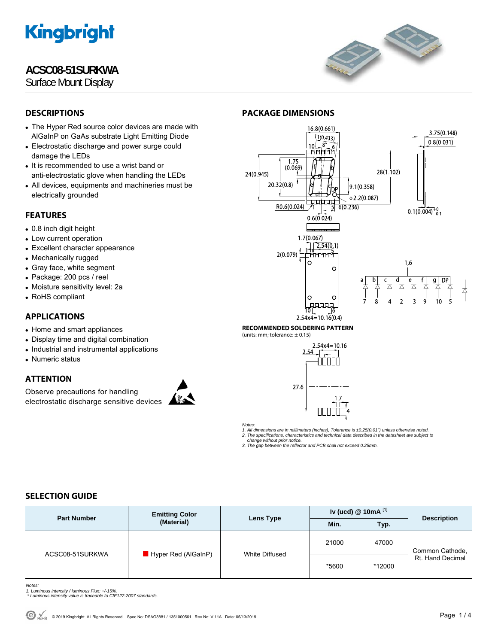# **ACSC08-51SURKWA**

Surface Mount Display



# **DESCRIPTIONS**

- The Hyper Red source color devices are made with AlGaInP on GaAs substrate Light Emitting Diode
- Electrostatic discharge and power surge could damage the LEDs
- It is recommended to use a wrist band or anti-electrostatic glove when handling the LEDs
- All devices, equipments and machineries must be electrically grounded

# **FEATURES**

- 0.8 inch digit height
- Low current operation
- Excellent character appearance
- Mechanically rugged
- Gray face, white segment
- Package: 200 pcs / reel
- Moisture sensitivity level: 2a
- RoHS compliant

# **APPLICATIONS**

- Home and smart appliances
- Display time and digital combination
- Industrial and instrumental applications
- Numeric status

# **ATTENTION**

Observe precautions for handling electrostatic discharge sensitive devices





**RECOMMENDED SOLDERING PATTERN** 

**PACKAGE DIMENSIONS** 

(units: mm; tolerance:  $\pm$  0.15)



*Notes:* 

*1. All dimensions are in millimeters (inches), Tolerance is ±0.25(0.01") unless otherwise noted. 2. The specifications, characteristics and technical data described in the datasheet are subject to* 

 *change without prior notice.* 

### *3. The gap between the reflector and PCB shall not exceed 0.25mm.*

# **SELECTION GUIDE**

| <b>Part Number</b> | <b>Emitting Color</b><br>(Material) | Lens Type      | Iv (ucd) $@$ 10mA $^{[1]}$ |        | <b>Description</b>                  |
|--------------------|-------------------------------------|----------------|----------------------------|--------|-------------------------------------|
|                    |                                     |                | Min.                       | Typ.   |                                     |
| ACSC08-51SURKWA    | Hyper Red (AlGaInP)                 | White Diffused | 21000                      | 47000  | Common Cathode,<br>Rt. Hand Decimal |
|                    |                                     |                | *5600                      | *12000 |                                     |

*Notes:* 

- 
- *1. Luminous intensity / luminous Flux: +/-15%. \* Luminous intensity value is traceable to CIE127-2007 standards.*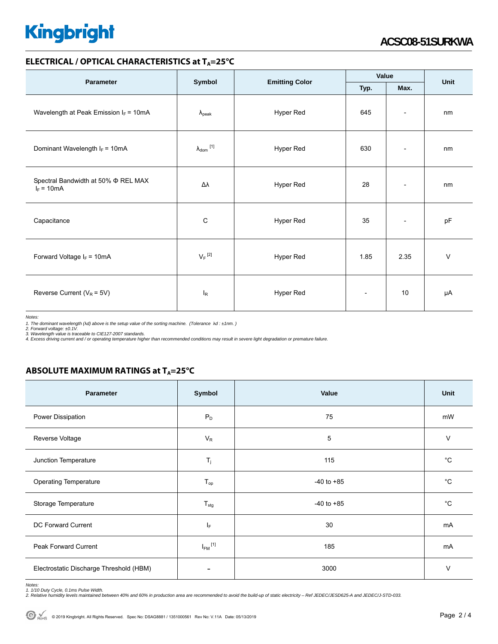### **ELECTRICAL / OPTICAL CHARACTERISTICS at T<sub>A</sub>=25°C**

| <b>Parameter</b>                                         | Symbol                       |                       | Value                    |                          |      |
|----------------------------------------------------------|------------------------------|-----------------------|--------------------------|--------------------------|------|
|                                                          |                              | <b>Emitting Color</b> | Typ.                     | Max.                     | Unit |
| Wavelength at Peak Emission $I_F = 10mA$                 | $\lambda_{\rm peak}$         | Hyper Red             | 645                      | $\overline{\phantom{a}}$ | nm   |
| Dominant Wavelength $I_F = 10mA$                         | $\lambda_{\mathsf{dom}}$ [1] | Hyper Red             | 630                      | $\overline{\phantom{a}}$ | nm   |
| Spectral Bandwidth at 50% $\Phi$ REL MAX<br>$I_F = 10mA$ | Δλ                           | Hyper Red             | 28                       | $\overline{\phantom{a}}$ | nm   |
| Capacitance                                              | C                            | Hyper Red             | 35                       | $\overline{\phantom{a}}$ | pF   |
| Forward Voltage $I_F = 10mA$                             | $V_F$ <sup>[2]</sup>         | Hyper Red             | 1.85                     | 2.35                     | V    |
| Reverse Current ( $V_R$ = 5V)                            | $I_R$                        | Hyper Red             | $\overline{\phantom{a}}$ | 10                       | μA   |

*Notes:* 

1. The dominant wavelength (λd) above is the setup value of the sorting machine. (Tolerance λd : ±1nm. )<br>2. Forward voltage: ±0.1V.<br>3. Wavelength value is traceable to CIE127-2007 standards.<br>4. Excess driving current and

**ABSOLUTE MAXIMUM RATINGS at T<sub>A</sub>=25°C** 

| Parameter                               | Symbol                  | Value          | Unit        |
|-----------------------------------------|-------------------------|----------------|-------------|
| Power Dissipation                       | $P_D$                   | 75             | mW          |
| Reverse Voltage                         | $V_R$                   | 5              | V           |
| Junction Temperature                    | $\mathsf{T}_j$          | 115            | °C          |
| <b>Operating Temperature</b>            | $T_{op}$                | $-40$ to $+85$ | $^{\circ}C$ |
| Storage Temperature                     | $T_{\text{stg}}$        | $-40$ to $+85$ | $^{\circ}C$ |
| DC Forward Current                      | ΙF                      | 30             | mA          |
| Peak Forward Current                    | $I_{FM}$ <sup>[1]</sup> | 185            | mA          |
| Electrostatic Discharge Threshold (HBM) | $\overline{a}$          | 3000           | V           |

Notes:<br>1. 1/10 Duty Cycle, 0.1ms Pulse Width.<br>2. Relative humidity levels maintained between 40% and 60% in production area are recommended to avoid the build-up of static electricity – Ref JEDEC/JESD625-A and JEDEC/J-STD-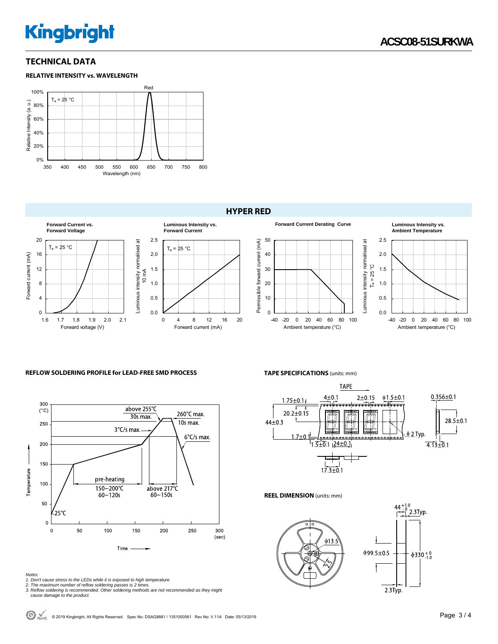### **TECHNICAL DATA**





### **HYPER RED**



#### **REFLOW SOLDERING PROFILE for LEAD-FREE SMD PROCESS**



*Notes:* 

- 
- 1. Don't cause stress to the LEDs while it is exposed to high temperature.<br>2. The maximum number of reflow soldering passes is 2 times.<br>3. Reflow soldering is recommended. Other soldering methods are not recommended as the
- *cause damage to the product.*

**TAPE SPECIFICATIONS** (units: mm)



#### **REEL DIMENSION** (units: mm)